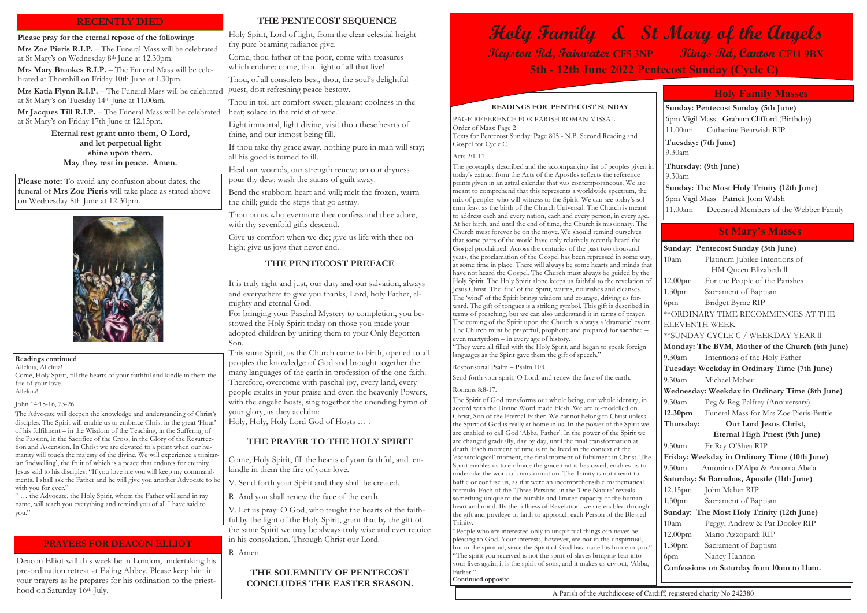#### **Readings continued**

Alleluia, Alleluia! Come, Holy Spirit, fill the hearts of your faithful and kindle in them the fire of your love. Alleluia!

#### John 14:15-16, 23-26.

The Advocate will deepen the knowledge and understanding of Christ's disciples. The Spirit will enable us to embrace Christ in the great 'Hour' of his fulfilment – in the Wisdom of the Teaching, in the Suffering of the Passion, in the Sacrifice of the Cross, in the Glory of the Resurrection and Ascension. In Christ we are elevated to a point when our humanity will touch the majesty of the divine. We will experience a trinitarian 'indwelling', the fruit of which is a peace that endures for eternity. Jesus said to his disciples: "If you love me you will keep my commandments. I shall ask the Father and he will give you another Advocate to be with you for ever."

" … the Advocate, the Holy Spirit, whom the Father will send in my name, will teach you everything and remind you of all I have said to you."

## **READINGS FOR PENTECOST SUNDAY**

PAGE REFERENCE FOR PARISH ROMAN MISSAL. Order of Mass: Page 2 Texts for Pentecost Sunday: Page 805 - N.B. Second Reading and Gospel for Cycle C.

Acts 2:1-11.

"They were all filled with the Holy Spirit, and began to speak foreign languages as the Spirit gave them the gift of speech."

The geography described and the accompanying list of peoples given in today's extract from the Acts of the Apostles reflects the reference points given in an astral calendar that was contemporaneous. We are meant to comprehend that this represents a worldwide spectrum, the mix of peoples who will witness to the Spirit. We can see today's solemn feast as the birth of the Church Universal. The Church is meant to address each and every nation, each and every person, in every age. At her birth, and until the end of time, the Church is missionary. The Church must forever be on the move. We should remind ourselves that some parts of the world have only relatively recently heard the Gospel proclaimed. Across the centuries of the past two thousand years, the proclamation of the Gospel has been repressed in some way, at some time in place. There will always be some hearts and minds that have not heard the Gospel. The Church must always be guided by the Holy Spirit. The Holy Spirit alone keeps us faithful to the revelation of Jesus Christ. The 'fire' of the Spirit, warms, nourishes and cleanses. The 'wind' of the Spirit brings wisdom and courage, driving us forward. The gift of tongues is a striking symbol. This gift is described in terms of preaching, but we can also understand it in terms of prayer. The coming of the Spirit upon the Church is always a 'dramatic' event. The Church must be prayerful, prophetic and prepared for sacrifice – even martyrdom – in every age of history.

"People who are interested only in unspiritual things can never be pleasing to God. Your interests, however, are not in the unspiritual, but in the spiritual, since the Spirit of God has made his home in you." "The spirit you received is not the spirit of slaves bringing fear into your lives again, it is the spirit of sons, and it makes us cry out, 'Abba, .<br>Father!"'

Responsorial Psalm – Psalm 103.

Send forth your spirit, O Lord, and renew the face of the earth.

#### Romans 8:8-17.

**Mrs Mary Brookes R.I.P.** – The Funeral Mass will be celebrated at Thornhill on Friday 10th June at 1.30pm.

**Mrs Katia Flynn R.I.P.** - The Funeral Mass will be celebrated at St Mary's on Tuesday 14th June at 11.00am.

**Mr Jacques Till R.I.P.** – The Funeral Mass will be celebrated at St Mary's on Friday 17th June at 12.15pm.

Deacon Elliot will this week be in London, undertaking his pre-ordination retreat at Ealing Abbey. Please keep him in your prayers as he prepares for his ordination to the priesthood on Saturday 16th July.

The Spirit of God transforms our whole being, our whole identity, in accord with the Divine Word made Flesh. We are re-modelled on Christ, Son of the Eternal Father. We cannot belong to Christ unless the Spirit of God is really at home in us. In the power of the Spirit we are enabled to call God 'Abba, Father'. In the power of the Spirit we are changed gradually, day by day, until the final transformation at death. Each moment of time is to be lived in the context of the 'eschatological' moment, the final moment of fulfilment in Christ. The Spirit enables us to embrace the grace that is bestowed, enables us to undertake the work of transformation. The Trinity is not meant to baffle or confuse us, as if it were an incomprehensible mathematical formula. Each of the 'Three Persons' in the 'One Nature' reveals something unique to the humble and limited capacity of the human heart and mind. By the fullness of Revelation. we are enabled through the gift and privilege of faith to approach each Person of the Blessed Trinity.

Please note: To avoid any confusion about dates, the funeral of **Mrs Zoe Pieris** will take place as stated above on Wednesday 8th June at 12.30pm.



**Continued opposite**

| Sunday: Pentecost Sunday (5th June)              |                                        |  |  |  |  |
|--------------------------------------------------|----------------------------------------|--|--|--|--|
| 10am                                             | Platinum Jubilee Intentions of         |  |  |  |  |
|                                                  | HM Queen Elizabeth ll                  |  |  |  |  |
| 12.00 <sub>pm</sub>                              | For the People of the Parishes         |  |  |  |  |
| 1.30pm                                           | Sacrament of Baptism                   |  |  |  |  |
| 6pm                                              | Bridget Byrne RIP                      |  |  |  |  |
| ** ORDINARY TIME RECOMMENCES AT THE              |                                        |  |  |  |  |
| <b>ELEVENTH WEEK</b>                             |                                        |  |  |  |  |
| ** SUNDAY CYCLE C / WEEKDAY YEAR II              |                                        |  |  |  |  |
| Monday: The BVM, Mother of the Church (6th June) |                                        |  |  |  |  |
| 9.30am                                           | Intentions of the Holy Father          |  |  |  |  |
| Tuesday: Weekday in Ordinary Time (7th June)     |                                        |  |  |  |  |
| 9.30am                                           | Michael Maher                          |  |  |  |  |
| Wednesday: Weekday in Ordinary Time (8th June)   |                                        |  |  |  |  |
| $9.30$ am                                        | Peg & Reg Palfrey (Anniversary)        |  |  |  |  |
| 12.30 <sub>pm</sub>                              | Funeral Mass for Mrs Zoe Pieris-Buttle |  |  |  |  |
| Thursday:<br>Our Lord Jesus Christ,              |                                        |  |  |  |  |
| <b>Eternal High Priest (9th June)</b>            |                                        |  |  |  |  |
| $9.30$ am                                        | Fr Ray O'Shea RIP                      |  |  |  |  |
| Friday: Weekday in Ordinary Time (10th June)     |                                        |  |  |  |  |
| 9.30am                                           | Antonino D'Alpa & Antonia Abela        |  |  |  |  |
| Saturday: St Barnabas, Apostle (11th June)       |                                        |  |  |  |  |
| 12.15pm                                          | John Maher RIP                         |  |  |  |  |
| 1.30 <sub>pm</sub>                               | Sacrament of Baptism                   |  |  |  |  |
| Sunday: The Most Holy Trinity (12th June)        |                                        |  |  |  |  |
| 10am                                             | Peggy, Andrew & Pat Dooley RIP         |  |  |  |  |
|                                                  | 12.00pm Mario Azzopardi RIP            |  |  |  |  |
|                                                  | 1.30pm Sacrament of Baptism            |  |  |  |  |
| 6pm                                              | Nancy Hannon                           |  |  |  |  |
| Confessions on Saturday from 10am to 11am.       |                                        |  |  |  |  |
|                                                  |                                        |  |  |  |  |

# **St Mary's Masses**

**Sunday: Pentecost Sunday (5th June)** 6pm Vigil Mass Graham Clifford (Birthday) 11.00am Catherine Bearwish RIP

#### **Tuesday: (7th June)**  9.30am

**Thursday: (9th June)** 9.30am

**Sunday: The Most Holy Trinity (12th June)** 6pm Vigil Mass Patrick John Walsh 11.00am Deceased Members of the Webber Family

# **Holy Family Masses**

# **Holy Family & St Mary of the Angels Keyston Rd, Fairwater CF5 3NP Kings Rd, Canton CF11 9BX 5th - 12th June 2022 Pentecost Sunday (Cycle C)**

### **Please pray for the eternal repose of the following:**

**Mrs Zoe Pieris R.I.P.** – The Funeral Mass will be celebrated at St Mary's on Wednesday 8th June at 12.30pm.

> **Eternal rest grant unto them, O Lord, and let perpetual light shine upon them. May they rest in peace. Amen.**

# **RECENTLY DIED**

#### **PRAYERS FOR DEACON ELLIOT**

### **THE PENTECOST SEQUENCE**

Holy Spirit, Lord of light, from the clear celestial height thy pure beaming radiance give.

Come, thou father of the poor, come with treasures which endure; come, thou light of all that live!

Thou, of all consolers best, thou, the soul's delightful guest, dost refreshing peace bestow.

Thou in toil art comfort sweet; pleasant coolness in the heat; solace in the midst of woe.

Light immortal, light divine, visit thou these hearts of thine, and our inmost being fill.

If thou take thy grace away, nothing pure in man will stay; all his good is turned to ill.

Heal our wounds, our strength renew; on our dryness pour thy dew; wash the stains of guilt away.

Bend the stubborn heart and will; melt the frozen, warm the chill; guide the steps that go astray.

Thou on us who evermore thee confess and thee adore, with thy sevenfold gifts descend.

Give us comfort when we die; give us life with thee on high; give us joys that never end.

### **THE PENTECOST PREFACE**

It is truly right and just, our duty and our salvation, always and everywhere to give you thanks, Lord, holy Father, almighty and eternal God.

For bringing your Paschal Mystery to completion, you bestowed the Holy Spirit today on those you made your adopted children by uniting them to your Only Begotten Son.

This same Spirit, as the Church came to birth, opened to all peoples the knowledge of God and brought together the many languages of the earth in profession of the one faith. Therefore, overcome with paschal joy, every land, every people exults in your praise and even the heavenly Powers, with the angelic hosts, sing together the unending hymn of your glory, as they acclaim:

Holy, Holy, Holy Lord God of Hosts … .

## **THE PRAYER TO THE HOLY SPIRIT**

Come, Holy Spirit, fill the hearts of your faithful, and enkindle in them the fire of your love.

V. Send forth your Spirit and they shall be created.

R. And you shall renew the face of the earth.

V. Let us pray: O God, who taught the hearts of the faithful by the light of the Holy Spirit, grant that by the gift of the same Spirit we may be always truly wise and ever rejoice in his consolation. Through Christ our Lord.

R. Amen.

# **THE SOLEMNITY OF PENTECOST CONCLUDES THE EASTER SEASON.**